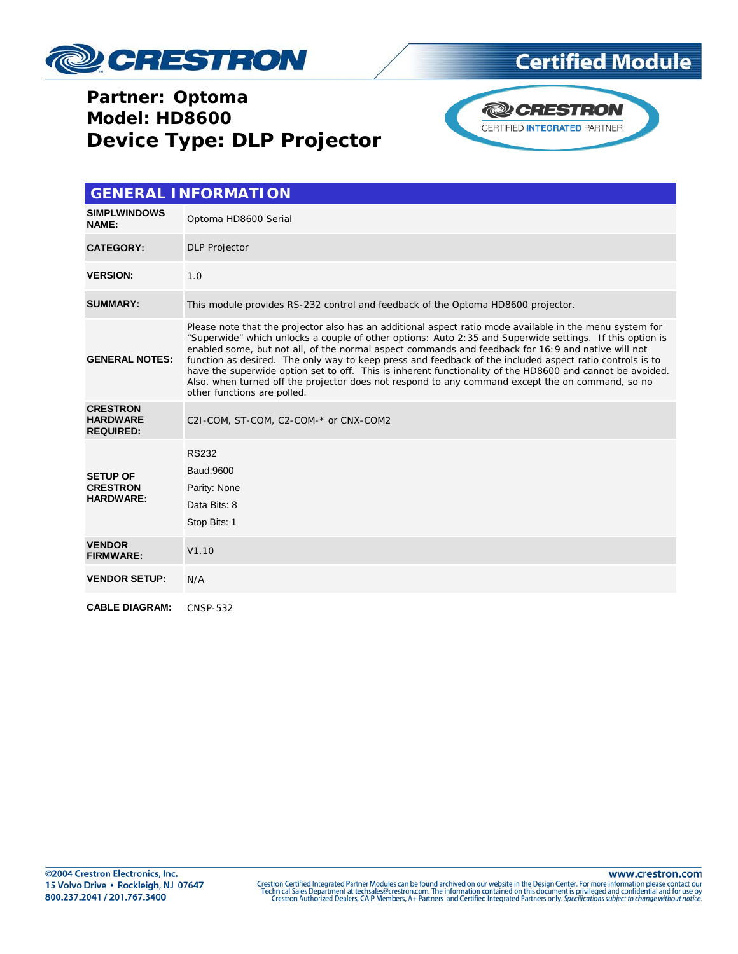

# **Certified Module**

## Partner: Optoma **Model: HD8600 Device Type: DLP Projector**



|                                                        | <b>GENERAL INFORMATION</b>                                                                                                                                                                                                                                                                                                                                                                                                                                                                                                                                                                                                                                                             |
|--------------------------------------------------------|----------------------------------------------------------------------------------------------------------------------------------------------------------------------------------------------------------------------------------------------------------------------------------------------------------------------------------------------------------------------------------------------------------------------------------------------------------------------------------------------------------------------------------------------------------------------------------------------------------------------------------------------------------------------------------------|
| <b>SIMPLWINDOWS</b><br>NAME:                           | Optoma HD8600 Serial                                                                                                                                                                                                                                                                                                                                                                                                                                                                                                                                                                                                                                                                   |
| <b>CATEGORY:</b>                                       | <b>DLP</b> Projector                                                                                                                                                                                                                                                                                                                                                                                                                                                                                                                                                                                                                                                                   |
| <b>VERSION:</b>                                        | 1.0                                                                                                                                                                                                                                                                                                                                                                                                                                                                                                                                                                                                                                                                                    |
| <b>SUMMARY:</b>                                        | This module provides RS-232 control and feedback of the Optoma HD8600 projector.                                                                                                                                                                                                                                                                                                                                                                                                                                                                                                                                                                                                       |
| <b>GENERAL NOTES:</b>                                  | Please note that the projector also has an additional aspect ratio mode available in the menu system for<br>"Superwide" which unlocks a couple of other options: Auto 2:35 and Superwide settings. If this option is<br>enabled some, but not all, of the normal aspect commands and feedback for 16:9 and native will not<br>function as desired. The only way to keep press and feedback of the included aspect ratio controls is to<br>have the superwide option set to off. This is inherent functionality of the HD8600 and cannot be avoided.<br>Also, when turned off the projector does not respond to any command except the on command, so no<br>other functions are polled. |
| <b>CRESTRON</b><br><b>HARDWARE</b><br><b>REQUIRED:</b> | C2I-COM, ST-COM, C2-COM-* or CNX-COM2                                                                                                                                                                                                                                                                                                                                                                                                                                                                                                                                                                                                                                                  |
| <b>SETUP OF</b><br><b>CRESTRON</b><br><b>HARDWARE:</b> | <b>RS232</b><br>Baud: 9600<br>Parity: None<br>Data Bits: 8<br>Stop Bits: 1                                                                                                                                                                                                                                                                                                                                                                                                                                                                                                                                                                                                             |
| <b>VENDOR</b><br><b>FIRMWARE:</b>                      | V1.10                                                                                                                                                                                                                                                                                                                                                                                                                                                                                                                                                                                                                                                                                  |
| <b>VENDOR SETUP:</b>                                   | N/A                                                                                                                                                                                                                                                                                                                                                                                                                                                                                                                                                                                                                                                                                    |
| <b>CABLE DIAGRAM:</b>                                  | <b>CNSP-532</b>                                                                                                                                                                                                                                                                                                                                                                                                                                                                                                                                                                                                                                                                        |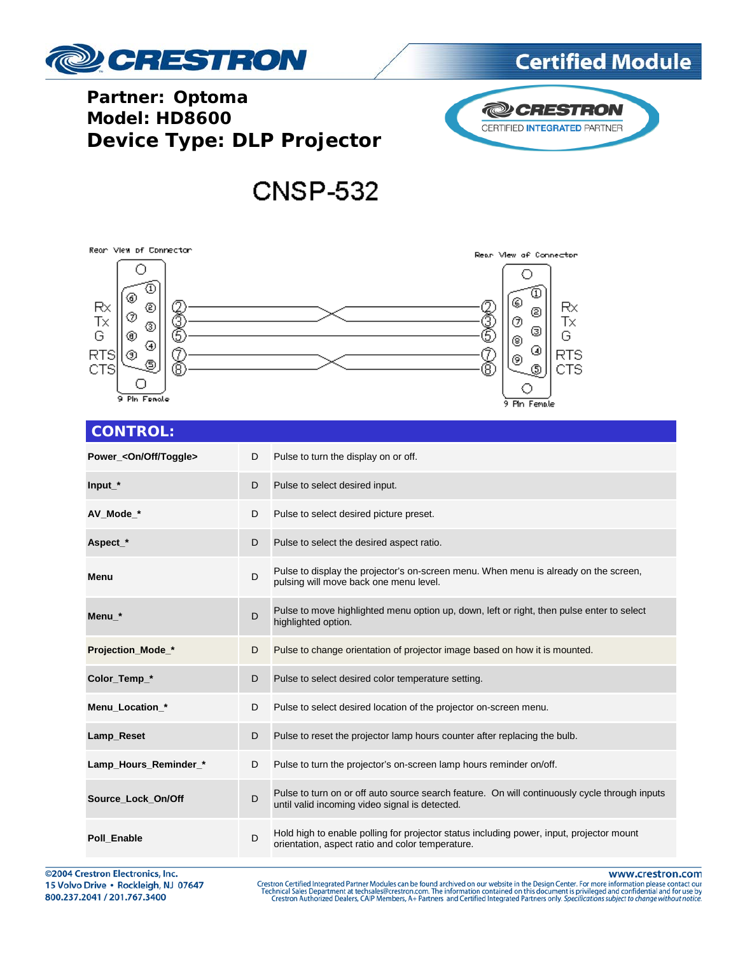

# **Certified Module**

## **Partner: Optoma Model: HD8600 Device Type: DLP Projector**



# **CNSP-532**

### Reon View of Connector Rean Mew of Connector О O ⊙ ٥ ⊛ ◎ Rx Rx ℗ Z<br>Ö ⊚ Š ℗ Tx ℗ Тx ⊚ ⊚ G ◉ G ◉ ⊛ 8 ◑ **RTS** ⊚ C RTS  $^{\circledR}$ © ٩ CTS CTS Θ О ○ 9 Pin Fenole 9 Pin Female

### **CONTROL:**

| Power_ <on off="" toggle=""></on> | D | Pulse to turn the display on or off.                                                                                                            |
|-----------------------------------|---|-------------------------------------------------------------------------------------------------------------------------------------------------|
| $Input*$                          | D | Pulse to select desired input.                                                                                                                  |
| AV Mode *                         | D | Pulse to select desired picture preset.                                                                                                         |
| Aspect_*                          | D | Pulse to select the desired aspect ratio.                                                                                                       |
| Menu                              | D | Pulse to display the projector's on-screen menu. When menu is already on the screen,<br>pulsing will move back one menu level.                  |
| Menu *                            | D | Pulse to move highlighted menu option up, down, left or right, then pulse enter to select<br>highlighted option.                                |
| Projection_Mode_*                 | D | Pulse to change orientation of projector image based on how it is mounted.                                                                      |
| Color_Temp_*                      | D | Pulse to select desired color temperature setting.                                                                                              |
| Menu Location *                   | D | Pulse to select desired location of the projector on-screen menu.                                                                               |
| Lamp_Reset                        | D | Pulse to reset the projector lamp hours counter after replacing the bulb.                                                                       |
| Lamp_Hours_Reminder_*             | D | Pulse to turn the projector's on-screen lamp hours reminder on/off.                                                                             |
| Source Lock On/Off                | D | Pulse to turn on or off auto source search feature. On will continuously cycle through inputs<br>until valid incoming video signal is detected. |
| Poll Enable                       | D | Hold high to enable polling for projector status including power, input, projector mount<br>orientation, aspect ratio and color temperature.    |

©2004 Crestron Electronics, Inc. 15 Volvo Drive · Rockleigh, NJ 07647 800.237.2041 / 201.767.3400

www.crestron.com

Crestron Certified Integrated Partner Modules can be found archived on our website in the Design Center. For more information please contact our<br>Technical Sales Department at techsales@crestron.com. The information contain